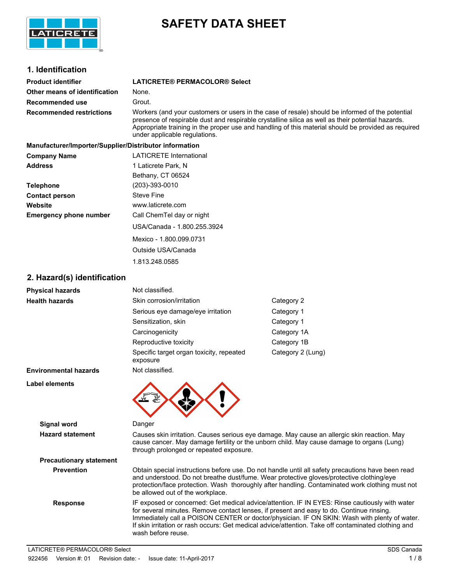

# **SAFETY DATA SHEET**

# **1. Identification**

| Product identifier            | LATICRETE® PERMACOLOR® Select                                                                                                                                                                                                                                                                               |
|-------------------------------|-------------------------------------------------------------------------------------------------------------------------------------------------------------------------------------------------------------------------------------------------------------------------------------------------------------|
| Other means of identification | None.                                                                                                                                                                                                                                                                                                       |
| Recommended use               | Grout.                                                                                                                                                                                                                                                                                                      |
| Recommended restrictions      | Workers (and your customers or users in the case of resale) should be informed of the potential<br>presence of respirable dust and respirable crystalline silica as well as their potential hazards.<br>Appropriate training in the proper use and handling of this material should be provided as required |

**Manufacturer/Importer/Supplier/Distributor information Company Name** LATICRETE International **Address** 1 Laticrete Park, N Bethany, CT 06524 **Telephone** (203)-393-0010 **Contact person** Steve Fine **Website** www.laticrete.com **Emergency phone number** Call ChemTel day or night USA/Canada - 1.800.255.3924 Mexico - 1.800.099.0731

> Outside USA/Canada 1.813.248.0585

under applicable regulations.

# **2. Hazard(s) identification**

| <b>Physical hazards</b>        | Not classified.                                                                                                                                                                                                                     |                                                                                                                                                                                                                                                                                                  |
|--------------------------------|-------------------------------------------------------------------------------------------------------------------------------------------------------------------------------------------------------------------------------------|--------------------------------------------------------------------------------------------------------------------------------------------------------------------------------------------------------------------------------------------------------------------------------------------------|
| <b>Health hazards</b>          | Skin corrosion/irritation                                                                                                                                                                                                           | Category 2                                                                                                                                                                                                                                                                                       |
|                                | Serious eye damage/eye irritation                                                                                                                                                                                                   | Category 1                                                                                                                                                                                                                                                                                       |
|                                | Sensitization, skin                                                                                                                                                                                                                 | Category 1                                                                                                                                                                                                                                                                                       |
|                                | Carcinogenicity                                                                                                                                                                                                                     | Category 1A                                                                                                                                                                                                                                                                                      |
|                                | Reproductive toxicity                                                                                                                                                                                                               | Category 1B                                                                                                                                                                                                                                                                                      |
|                                | Specific target organ toxicity, repeated<br>exposure                                                                                                                                                                                | Category 2 (Lung)                                                                                                                                                                                                                                                                                |
| <b>Environmental hazards</b>   | Not classified.                                                                                                                                                                                                                     |                                                                                                                                                                                                                                                                                                  |
| Label elements                 | ۷V                                                                                                                                                                                                                                  |                                                                                                                                                                                                                                                                                                  |
| <b>Signal word</b>             | Danger                                                                                                                                                                                                                              |                                                                                                                                                                                                                                                                                                  |
| <b>Hazard statement</b>        | Causes skin irritation. Causes serious eye damage. May cause an allergic skin reaction. May<br>cause cancer. May damage fertility or the unborn child. May cause damage to organs (Lung)<br>through prolonged or repeated exposure. |                                                                                                                                                                                                                                                                                                  |
| <b>Precautionary statement</b> |                                                                                                                                                                                                                                     |                                                                                                                                                                                                                                                                                                  |
| <b>Prevention</b>              |                                                                                                                                                                                                                                     | Obtain special instructions before use. Do not handle until all safety precautions have been read<br>and understood. Do not breathe dust/fume. Wear protective gloves/protective clothing/eye<br>protection/face protection. Wash thoroughly after handling. Contaminated work clothing must not |

be allowed out of the workplace. **Response** IF exposed or concerned: Get medical advice/attention. IF IN EYES: Rinse cautiously with water for several minutes. Remove contact lenses, if present and easy to do. Continue rinsing. Immediately call a POISON CENTER or doctor/physician. IF ON SKIN: Wash with plenty of water. If skin irritation or rash occurs: Get medical advice/attention. Take off contaminated clothing and wash before reuse.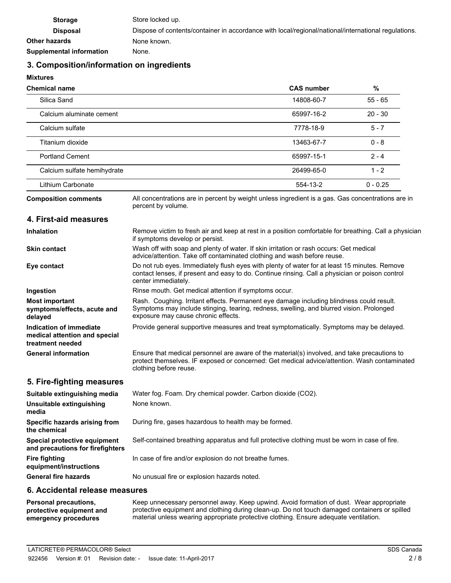| <b>Storage</b>                  | Store locked up.                                                                                    |
|---------------------------------|-----------------------------------------------------------------------------------------------------|
| <b>Disposal</b>                 | Dispose of contents/container in accordance with local/regional/national/international regulations. |
| Other hazards                   | None known.                                                                                         |
| <b>Supplemental information</b> | None.                                                                                               |

# **3. Composition/information on ingredients**

**Mixtures**

| <b>CAS number</b> | $\%$       |  |
|-------------------|------------|--|
| 14808-60-7        | $55 - 65$  |  |
| 65997-16-2        | $20 - 30$  |  |
| 7778-18-9         | $5 - 7$    |  |
| 13463-67-7        | $0 - 8$    |  |
| 65997-15-1        | $2 - 4$    |  |
| 26499-65-0        | $1 - 2$    |  |
| 554-13-2          | $0 - 0.25$ |  |
|                   |            |  |

**Composition comments**

All concentrations are in percent by weight unless ingredient is a gas. Gas concentrations are in percent by volume.

## **4. First-aid measures**

| <b>Inhalation</b>                                                            | Remove victim to fresh air and keep at rest in a position comfortable for breathing. Call a physician<br>if symptoms develop or persist.                                                                                    |
|------------------------------------------------------------------------------|-----------------------------------------------------------------------------------------------------------------------------------------------------------------------------------------------------------------------------|
| <b>Skin contact</b>                                                          | Wash off with soap and plenty of water. If skin irritation or rash occurs: Get medical<br>advice/attention. Take off contaminated clothing and wash before reuse.                                                           |
| Eye contact                                                                  | Do not rub eyes. Immediately flush eyes with plenty of water for at least 15 minutes. Remove<br>contact lenses, if present and easy to do. Continue rinsing. Call a physician or poison control<br>center immediately.      |
| Ingestion                                                                    | Rinse mouth. Get medical attention if symptoms occur.                                                                                                                                                                       |
| <b>Most important</b><br>symptoms/effects, acute and<br>delayed              | Rash. Coughing. Irritant effects. Permanent eye damage including blindness could result.<br>Symptoms may include stinging, tearing, redness, swelling, and blurred vision. Prolonged<br>exposure may cause chronic effects. |
| Indication of immediate<br>medical attention and special<br>treatment needed | Provide general supportive measures and treat symptomatically. Symptoms may be delayed.                                                                                                                                     |
| <b>General information</b>                                                   | Ensure that medical personnel are aware of the material(s) involved, and take precautions to<br>protect themselves. IF exposed or concerned: Get medical advice/attention. Wash contaminated<br>clothing before reuse.      |

# **5. Fire-fighting measures**

| Suitable extinguishing media                                     | Water fog. Foam. Dry chemical powder. Carbon dioxide (CO2).                                   |
|------------------------------------------------------------------|-----------------------------------------------------------------------------------------------|
| Unsuitable extinguishing<br>media                                | None known.                                                                                   |
| Specific hazards arising from<br>the chemical                    | During fire, gases hazardous to health may be formed.                                         |
| Special protective equipment<br>and precautions for firefighters | Self-contained breathing apparatus and full protective clothing must be worn in case of fire. |
| <b>Fire fighting</b><br>equipment/instructions                   | In case of fire and/or explosion do not breathe fumes.                                        |
| <b>General fire hazards</b>                                      | No unusual fire or explosion hazards noted.                                                   |

# **6. Accidental release measures**

Keep unnecessary personnel away. Keep upwind. Avoid formation of dust. Wear appropriate protective equipment and clothing during clean-up. Do not touch damaged containers or spilled material unless wearing appropriate protective clothing. Ensure adequate ventilation. **Personal precautions, protective equipment and emergency procedures**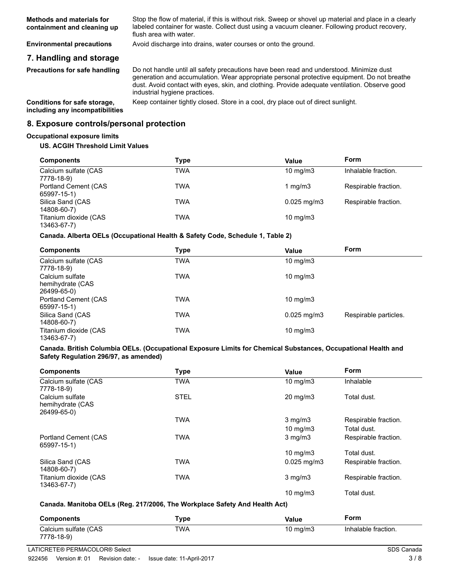Stop the flow of material, if this is without risk. Sweep or shovel up material and place in a clearly labeled container for waste. Collect dust using a vacuum cleaner. Following product recovery, flush area with water. **Methods and materials for containment and cleaning up**

**Environmental precautions** Avoid discharge into drains, water courses or onto the ground.

# **7. Handling and storage**

**Precautions for safe handling**

Do not handle until all safety precautions have been read and understood. Minimize dust generation and accumulation. Wear appropriate personal protective equipment. Do not breathe dust. Avoid contact with eyes, skin, and clothing. Provide adequate ventilation. Observe good industrial hygiene practices.

**including any incompatibilities**

**Conditions for safe storage,** Keep container tightly closed. Store in a cool, dry place out of direct sunlight.

### **8. Exposure controls/personal protection**

#### **Occupational exposure limits**

#### **US. ACGIH Threshold Limit Values**

| <b>Components</b>                    | Type | Value                     | Form                 |
|--------------------------------------|------|---------------------------|----------------------|
| Calcium sulfate (CAS<br>7778-18-9)   | TWA  | $10 \text{ mg/m}$         | Inhalable fraction.  |
| Portland Cement (CAS<br>65997-15-1)  | TWA  | 1 $mq/m3$                 | Respirable fraction. |
| Silica Sand (CAS<br>14808-60-7)      | TWA  | $0.025 \,\mathrm{mq/m}$ 3 | Respirable fraction. |
| Titanium dioxide (CAS<br>13463-67-7) | TWA  | $10 \text{ mg/m}$         |                      |

#### **Canada. Alberta OELs (Occupational Health & Safety Code, Schedule 1, Table 2)**

| <b>Components</b>                                  | Type | Value             | <b>Form</b>           |
|----------------------------------------------------|------|-------------------|-----------------------|
| Calcium sulfate (CAS<br>7778-18-9)                 | TWA  | $10 \text{ mg/m}$ |                       |
| Calcium sulfate<br>hemihydrate (CAS<br>26499-65-0) | TWA  | $10 \text{ mg/m}$ |                       |
| <b>Portland Cement (CAS)</b><br>65997-15-1)        | TWA  | $10 \text{ mg/m}$ |                       |
| Silica Sand (CAS<br>14808-60-7)                    | TWA  | $0.025$ mg/m $3$  | Respirable particles. |
| Titanium dioxide (CAS<br>13463-67-7)               | TWA  | 10 mg/m $3$       |                       |

#### **Canada. British Columbia OELs. (Occupational Exposure Limits for Chemical Substances, Occupational Health and Safety Regulation 296/97, as amended)**

| <b>Components</b>                                  | Type        | Value                             | <b>Form</b>                         |
|----------------------------------------------------|-------------|-----------------------------------|-------------------------------------|
| Calcium sulfate (CAS<br>7778-18-9)                 | <b>TWA</b>  | $10 \text{ mg/m}$                 | Inhalable                           |
| Calcium sulfate<br>hemihydrate (CAS<br>26499-65-0) | <b>STEL</b> | $20 \text{ mg/m}$                 | Total dust.                         |
|                                                    | <b>TWA</b>  | $3$ mg/m $3$<br>$10 \text{ mg/m}$ | Respirable fraction.<br>Total dust. |
|                                                    | TWA         |                                   |                                     |
| Portland Cement (CAS<br>65997-15-1)                |             | $3$ mg/m $3$                      | Respirable fraction.                |
|                                                    |             | 10 mg/m $3$                       | Total dust.                         |
| Silica Sand (CAS<br>14808-60-7)                    | TWA         | $0.025$ mg/m $3$                  | Respirable fraction.                |
| Titanium dioxide (CAS<br>13463-67-7)               | TWA         | $3$ mg/m $3$                      | Respirable fraction.                |
|                                                    |             | $10 \text{ mg/m}$                 | Total dust.                         |

#### **Canada. Manitoba OELs (Reg. 217/2006, The Workplace Safety And Health Act)**

| $\mathsf{Type}$ | Value       | Form                |
|-----------------|-------------|---------------------|
| TWA             | 10 mg/m $3$ | Inhalable fraction. |
|                 |             |                     |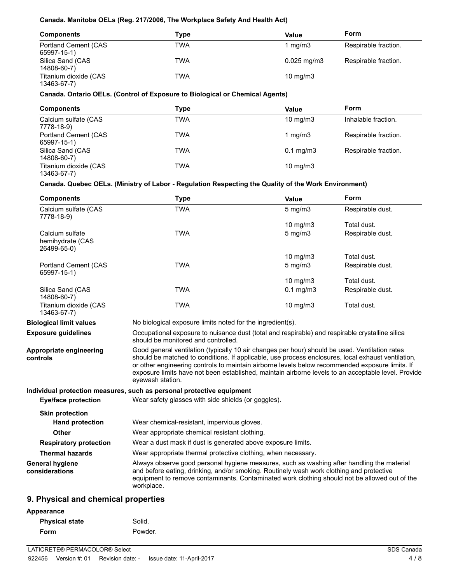#### **Canada. Manitoba OELs (Reg. 217/2006, The Workplace Safety And Health Act)**

| <b>Components</b>                    | Type       | Value                   | Form                 |
|--------------------------------------|------------|-------------------------|----------------------|
| Portland Cement (CAS<br>65997-15-1)  | TWA        | 1 mg/m3                 | Respirable fraction. |
| Silica Sand (CAS<br>14808-60-7)      | <b>TWA</b> | $0.025 \,\mathrm{mq/m}$ | Respirable fraction. |
| Titanium dioxide (CAS<br>13463-67-7) | <b>TWA</b> | $10 \text{ mg/m}$       |                      |

# **Canada. Ontario OELs. (Control of Exposure to Biological or Chemical Agents)**

| <b>Components</b>                           | Type | Value              | Form                 |
|---------------------------------------------|------|--------------------|----------------------|
| Calcium sulfate (CAS<br>7778-18-9)          | TWA  | $10 \text{ mg/m}$  | Inhalable fraction.  |
| <b>Portland Cement (CAS)</b><br>65997-15-1) | TWA  | 1 $mq/m3$          | Respirable fraction. |
| Silica Sand (CAS<br>14808-60-7)             | TWA  | $0.1 \text{ mg/m}$ | Respirable fraction. |
| Titanium dioxide (CAS<br>13463-67-7)        | TWA  | $10 \text{ mg/m}$  |                      |

# **Canada. Quebec OELs. (Ministry of Labor - Regulation Respecting the Quality of the Work Environment)**

| <b>Components</b>                                  | <b>Type</b>                                                                                                                                                                                                                                                                                                                                                                                                                        | Value                                                      | Form             |  |
|----------------------------------------------------|------------------------------------------------------------------------------------------------------------------------------------------------------------------------------------------------------------------------------------------------------------------------------------------------------------------------------------------------------------------------------------------------------------------------------------|------------------------------------------------------------|------------------|--|
| Calcium sulfate (CAS<br>7778-18-9)                 | <b>TWA</b>                                                                                                                                                                                                                                                                                                                                                                                                                         | $5$ mg/m $3$                                               | Respirable dust. |  |
|                                                    |                                                                                                                                                                                                                                                                                                                                                                                                                                    | 10 $mg/m3$                                                 | Total dust.      |  |
| Calcium sulfate<br>hemihydrate (CAS<br>26499-65-0) | <b>TWA</b>                                                                                                                                                                                                                                                                                                                                                                                                                         | $5$ mg/m $3$                                               | Respirable dust. |  |
|                                                    |                                                                                                                                                                                                                                                                                                                                                                                                                                    | 10 $mg/m3$                                                 | Total dust.      |  |
| Portland Cement (CAS<br>65997-15-1)                | <b>TWA</b>                                                                                                                                                                                                                                                                                                                                                                                                                         | $5$ mg/m $3$                                               | Respirable dust. |  |
|                                                    |                                                                                                                                                                                                                                                                                                                                                                                                                                    | 10 $mg/m3$                                                 | Total dust.      |  |
| Silica Sand (CAS<br>14808-60-7)                    | <b>TWA</b>                                                                                                                                                                                                                                                                                                                                                                                                                         | $0.1$ mg/m $3$                                             | Respirable dust. |  |
| Titanium dioxide (CAS<br>13463-67-7)               | <b>TWA</b>                                                                                                                                                                                                                                                                                                                                                                                                                         | 10 mg/m3                                                   | Total dust.      |  |
| <b>Biological limit values</b>                     |                                                                                                                                                                                                                                                                                                                                                                                                                                    | No biological exposure limits noted for the ingredient(s). |                  |  |
| <b>Exposure guidelines</b>                         | Occupational exposure to nuisance dust (total and respirable) and respirable crystalline silica<br>should be monitored and controlled.                                                                                                                                                                                                                                                                                             |                                                            |                  |  |
| Appropriate engineering<br>controls                | Good general ventilation (typically 10 air changes per hour) should be used. Ventilation rates<br>should be matched to conditions. If applicable, use process enclosures, local exhaust ventilation,<br>or other engineering controls to maintain airborne levels below recommended exposure limits. If<br>exposure limits have not been established, maintain airborne levels to an acceptable level. Provide<br>eyewash station. |                                                            |                  |  |
|                                                    | Individual protection measures, such as personal protective equipment                                                                                                                                                                                                                                                                                                                                                              |                                                            |                  |  |
| <b>Eye/face protection</b>                         | Wear safety glasses with side shields (or goggles).                                                                                                                                                                                                                                                                                                                                                                                |                                                            |                  |  |
| <b>Skin protection</b>                             |                                                                                                                                                                                                                                                                                                                                                                                                                                    |                                                            |                  |  |
| <b>Hand protection</b>                             | Wear chemical-resistant, impervious gloves.                                                                                                                                                                                                                                                                                                                                                                                        |                                                            |                  |  |
| Other                                              | Wear appropriate chemical resistant clothing.                                                                                                                                                                                                                                                                                                                                                                                      |                                                            |                  |  |
| <b>Respiratory protection</b>                      | Wear a dust mask if dust is generated above exposure limits.                                                                                                                                                                                                                                                                                                                                                                       |                                                            |                  |  |
| <b>Thermal hazards</b>                             | Wear appropriate thermal protective clothing, when necessary.                                                                                                                                                                                                                                                                                                                                                                      |                                                            |                  |  |
| <b>General hygiene</b><br>considerations           | Always observe good personal hygiene measures, such as washing after handling the material<br>and before eating, drinking, and/or smoking. Routinely wash work clothing and protective<br>equipment to remove contaminants. Contaminated work clothing should not be allowed out of the<br>workplace.                                                                                                                              |                                                            |                  |  |
| <b>Q.</b> Physical and chamical proporting         |                                                                                                                                                                                                                                                                                                                                                                                                                                    |                                                            |                  |  |

# **9. Physical and chemical properties**

#### **Appearance**

| <b>Physical state</b> | Solid.  |
|-----------------------|---------|
| Form                  | Powder. |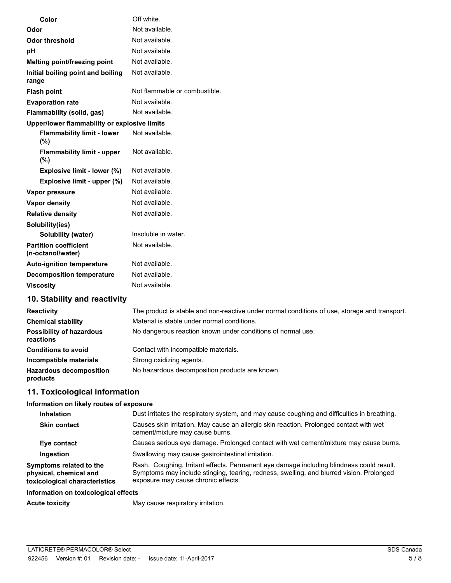| Color                                             | Off white.                    |
|---------------------------------------------------|-------------------------------|
| Odor                                              | Not available.                |
| <b>Odor threshold</b>                             | Not available.                |
| pH                                                | Not available.                |
| Melting point/freezing point                      | Not available.                |
| Initial boiling point and boiling<br>range        | Not available.                |
| <b>Flash point</b>                                | Not flammable or combustible. |
| <b>Evaporation rate</b>                           | Not available.                |
| Flammability (solid, gas)                         | Not available.                |
| Upper/lower flammability or explosive limits      |                               |
| <b>Flammability limit - lower</b><br>(%)          | Not available.                |
| <b>Flammability limit - upper</b><br>(%)          | Not available.                |
| Explosive limit - lower (%)                       | Not available.                |
| Explosive limit - upper (%)                       | Not available.                |
| Vapor pressure                                    | Not available.                |
| Vapor density                                     | Not available.                |
| <b>Relative density</b>                           | Not available.                |
| Solubility(ies)                                   |                               |
| Solubility (water)                                | Insoluble in water.           |
| <b>Partition coefficient</b><br>(n-octanol/water) | Not available.                |
| <b>Auto-ignition temperature</b>                  | Not available.                |
| <b>Decomposition temperature</b>                  | Not available.                |
| <b>Viscosity</b>                                  | Not available.                |
| 10. Stability and reactivity                      |                               |

| <b>Reactivity</b>                            | The product is stable and non-reactive under normal conditions of use, storage and transport. |  |  |
|----------------------------------------------|-----------------------------------------------------------------------------------------------|--|--|
| <b>Chemical stability</b>                    | Material is stable under normal conditions.                                                   |  |  |
| <b>Possibility of hazardous</b><br>reactions | No dangerous reaction known under conditions of normal use.                                   |  |  |
| <b>Conditions to avoid</b>                   | Contact with incompatible materials.                                                          |  |  |
| Incompatible materials                       | Strong oxidizing agents.                                                                      |  |  |
| <b>Hazardous decomposition</b><br>products   | No hazardous decomposition products are known.                                                |  |  |

# **11. Toxicological information**

# **Information on likely routes of exposure**

| <b>Inhalation</b>                                                                  | Dust irritates the respiratory system, and may cause coughing and difficulties in breathing.                                                                                                                                |  |  |
|------------------------------------------------------------------------------------|-----------------------------------------------------------------------------------------------------------------------------------------------------------------------------------------------------------------------------|--|--|
| <b>Skin contact</b>                                                                | Causes skin irritation. May cause an allergic skin reaction. Prolonged contact with wet<br>cement/mixture may cause burns.                                                                                                  |  |  |
| Eye contact                                                                        | Causes serious eye damage. Prolonged contact with wet cement/mixture may cause burns.                                                                                                                                       |  |  |
| Ingestion                                                                          | Swallowing may cause gastrointestinal irritation.                                                                                                                                                                           |  |  |
| Symptoms related to the<br>physical, chemical and<br>toxicological characteristics | Rash. Coughing. Irritant effects. Permanent eye damage including blindness could result.<br>Symptoms may include stinging, tearing, redness, swelling, and blurred vision. Prolonged<br>exposure may cause chronic effects. |  |  |
| Information on toxicological effects                                               |                                                                                                                                                                                                                             |  |  |
| <b>Acute toxicity</b>                                                              | May cause respiratory irritation.                                                                                                                                                                                           |  |  |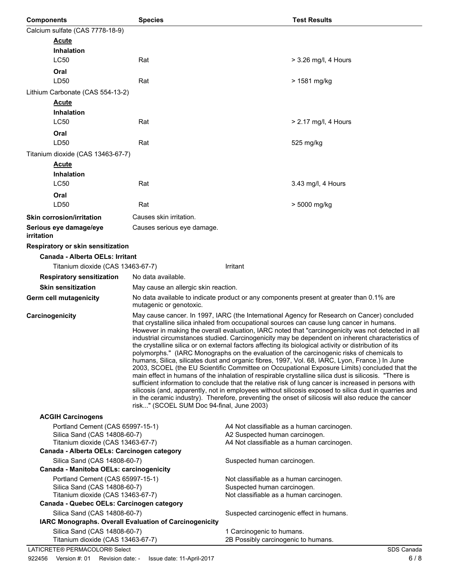| <b>Components</b>                                                                                     | <b>Species</b>                                                                                                                                                                                                                                                                                                                                                                                                                                                                                                                                                                                                                                                                                                                                                                                                                                                                                                                                                                                                                                                                                                                                                                                                                                                                              |                                                                                                                            | <b>Test Results</b>    |
|-------------------------------------------------------------------------------------------------------|---------------------------------------------------------------------------------------------------------------------------------------------------------------------------------------------------------------------------------------------------------------------------------------------------------------------------------------------------------------------------------------------------------------------------------------------------------------------------------------------------------------------------------------------------------------------------------------------------------------------------------------------------------------------------------------------------------------------------------------------------------------------------------------------------------------------------------------------------------------------------------------------------------------------------------------------------------------------------------------------------------------------------------------------------------------------------------------------------------------------------------------------------------------------------------------------------------------------------------------------------------------------------------------------|----------------------------------------------------------------------------------------------------------------------------|------------------------|
| Calcium sulfate (CAS 7778-18-9)                                                                       |                                                                                                                                                                                                                                                                                                                                                                                                                                                                                                                                                                                                                                                                                                                                                                                                                                                                                                                                                                                                                                                                                                                                                                                                                                                                                             |                                                                                                                            |                        |
| <b>Acute</b>                                                                                          |                                                                                                                                                                                                                                                                                                                                                                                                                                                                                                                                                                                                                                                                                                                                                                                                                                                                                                                                                                                                                                                                                                                                                                                                                                                                                             |                                                                                                                            |                        |
| <b>Inhalation</b>                                                                                     |                                                                                                                                                                                                                                                                                                                                                                                                                                                                                                                                                                                                                                                                                                                                                                                                                                                                                                                                                                                                                                                                                                                                                                                                                                                                                             |                                                                                                                            |                        |
| <b>LC50</b>                                                                                           | Rat                                                                                                                                                                                                                                                                                                                                                                                                                                                                                                                                                                                                                                                                                                                                                                                                                                                                                                                                                                                                                                                                                                                                                                                                                                                                                         |                                                                                                                            | > 3.26 mg/l, 4 Hours   |
| Oral                                                                                                  |                                                                                                                                                                                                                                                                                                                                                                                                                                                                                                                                                                                                                                                                                                                                                                                                                                                                                                                                                                                                                                                                                                                                                                                                                                                                                             |                                                                                                                            |                        |
| LD50                                                                                                  | Rat                                                                                                                                                                                                                                                                                                                                                                                                                                                                                                                                                                                                                                                                                                                                                                                                                                                                                                                                                                                                                                                                                                                                                                                                                                                                                         |                                                                                                                            | > 1581 mg/kg           |
| Lithium Carbonate (CAS 554-13-2)                                                                      |                                                                                                                                                                                                                                                                                                                                                                                                                                                                                                                                                                                                                                                                                                                                                                                                                                                                                                                                                                                                                                                                                                                                                                                                                                                                                             |                                                                                                                            |                        |
| <b>Acute</b>                                                                                          |                                                                                                                                                                                                                                                                                                                                                                                                                                                                                                                                                                                                                                                                                                                                                                                                                                                                                                                                                                                                                                                                                                                                                                                                                                                                                             |                                                                                                                            |                        |
| <b>Inhalation</b>                                                                                     |                                                                                                                                                                                                                                                                                                                                                                                                                                                                                                                                                                                                                                                                                                                                                                                                                                                                                                                                                                                                                                                                                                                                                                                                                                                                                             |                                                                                                                            |                        |
| <b>LC50</b>                                                                                           | Rat                                                                                                                                                                                                                                                                                                                                                                                                                                                                                                                                                                                                                                                                                                                                                                                                                                                                                                                                                                                                                                                                                                                                                                                                                                                                                         |                                                                                                                            | $> 2.17$ mg/l, 4 Hours |
| Oral                                                                                                  |                                                                                                                                                                                                                                                                                                                                                                                                                                                                                                                                                                                                                                                                                                                                                                                                                                                                                                                                                                                                                                                                                                                                                                                                                                                                                             |                                                                                                                            |                        |
| LD50                                                                                                  | Rat                                                                                                                                                                                                                                                                                                                                                                                                                                                                                                                                                                                                                                                                                                                                                                                                                                                                                                                                                                                                                                                                                                                                                                                                                                                                                         |                                                                                                                            | 525 mg/kg              |
| Titanium dioxide (CAS 13463-67-7)                                                                     |                                                                                                                                                                                                                                                                                                                                                                                                                                                                                                                                                                                                                                                                                                                                                                                                                                                                                                                                                                                                                                                                                                                                                                                                                                                                                             |                                                                                                                            |                        |
| <b>Acute</b>                                                                                          |                                                                                                                                                                                                                                                                                                                                                                                                                                                                                                                                                                                                                                                                                                                                                                                                                                                                                                                                                                                                                                                                                                                                                                                                                                                                                             |                                                                                                                            |                        |
| <b>Inhalation</b>                                                                                     |                                                                                                                                                                                                                                                                                                                                                                                                                                                                                                                                                                                                                                                                                                                                                                                                                                                                                                                                                                                                                                                                                                                                                                                                                                                                                             |                                                                                                                            |                        |
| <b>LC50</b>                                                                                           | Rat                                                                                                                                                                                                                                                                                                                                                                                                                                                                                                                                                                                                                                                                                                                                                                                                                                                                                                                                                                                                                                                                                                                                                                                                                                                                                         |                                                                                                                            | 3.43 mg/l, 4 Hours     |
| Oral                                                                                                  |                                                                                                                                                                                                                                                                                                                                                                                                                                                                                                                                                                                                                                                                                                                                                                                                                                                                                                                                                                                                                                                                                                                                                                                                                                                                                             |                                                                                                                            |                        |
| LD50                                                                                                  | Rat                                                                                                                                                                                                                                                                                                                                                                                                                                                                                                                                                                                                                                                                                                                                                                                                                                                                                                                                                                                                                                                                                                                                                                                                                                                                                         |                                                                                                                            | > 5000 mg/kg           |
| <b>Skin corrosion/irritation</b>                                                                      | Causes skin irritation.                                                                                                                                                                                                                                                                                                                                                                                                                                                                                                                                                                                                                                                                                                                                                                                                                                                                                                                                                                                                                                                                                                                                                                                                                                                                     |                                                                                                                            |                        |
| Serious eye damage/eye<br>irritation                                                                  | Causes serious eye damage.                                                                                                                                                                                                                                                                                                                                                                                                                                                                                                                                                                                                                                                                                                                                                                                                                                                                                                                                                                                                                                                                                                                                                                                                                                                                  |                                                                                                                            |                        |
| Respiratory or skin sensitization                                                                     |                                                                                                                                                                                                                                                                                                                                                                                                                                                                                                                                                                                                                                                                                                                                                                                                                                                                                                                                                                                                                                                                                                                                                                                                                                                                                             |                                                                                                                            |                        |
| <b>Canada - Alberta OELs: Irritant</b>                                                                |                                                                                                                                                                                                                                                                                                                                                                                                                                                                                                                                                                                                                                                                                                                                                                                                                                                                                                                                                                                                                                                                                                                                                                                                                                                                                             |                                                                                                                            |                        |
| Titanium dioxide (CAS 13463-67-7)                                                                     |                                                                                                                                                                                                                                                                                                                                                                                                                                                                                                                                                                                                                                                                                                                                                                                                                                                                                                                                                                                                                                                                                                                                                                                                                                                                                             | Irritant                                                                                                                   |                        |
| <b>Respiratory sensitization</b>                                                                      | No data available.                                                                                                                                                                                                                                                                                                                                                                                                                                                                                                                                                                                                                                                                                                                                                                                                                                                                                                                                                                                                                                                                                                                                                                                                                                                                          |                                                                                                                            |                        |
| <b>Skin sensitization</b>                                                                             | May cause an allergic skin reaction.                                                                                                                                                                                                                                                                                                                                                                                                                                                                                                                                                                                                                                                                                                                                                                                                                                                                                                                                                                                                                                                                                                                                                                                                                                                        |                                                                                                                            |                        |
| Germ cell mutagenicity                                                                                | No data available to indicate product or any components present at greater than 0.1% are<br>mutagenic or genotoxic.                                                                                                                                                                                                                                                                                                                                                                                                                                                                                                                                                                                                                                                                                                                                                                                                                                                                                                                                                                                                                                                                                                                                                                         |                                                                                                                            |                        |
| Carcinogenicity                                                                                       | May cause cancer. In 1997, IARC (the International Agency for Research on Cancer) concluded<br>that crystalline silica inhaled from occupational sources can cause lung cancer in humans.<br>However in making the overall evaluation, IARC noted that "carcinogenicity was not detected in all<br>industrial circumstances studied. Carcinogenicity may be dependent on inherent characteristics of<br>the crystalline silica or on external factors affecting its biological activity or distribution of its<br>polymorphs." (IARC Monographs on the evaluation of the carcinogenic risks of chemicals to<br>humans, Silica, silicates dust and organic fibres, 1997, Vol. 68, IARC, Lyon, France.) In June<br>2003, SCOEL (the EU Scientific Committee on Occupational Exposure Limits) concluded that the<br>main effect in humans of the inhalation of respirable crystalline silica dust is silicosis. "There is<br>sufficient information to conclude that the relative risk of lung cancer is increased in persons with<br>silicosis (and, apparently, not in employees without silicosis exposed to silica dust in quarries and<br>in the ceramic industry). Therefore, preventing the onset of silicosis will also reduce the cancer<br>risk" (SCOEL SUM Doc 94-final, June 2003) |                                                                                                                            |                        |
| <b>ACGIH Carcinogens</b>                                                                              |                                                                                                                                                                                                                                                                                                                                                                                                                                                                                                                                                                                                                                                                                                                                                                                                                                                                                                                                                                                                                                                                                                                                                                                                                                                                                             |                                                                                                                            |                        |
| Portland Cement (CAS 65997-15-1)<br>Silica Sand (CAS 14808-60-7)<br>Titanium dioxide (CAS 13463-67-7) |                                                                                                                                                                                                                                                                                                                                                                                                                                                                                                                                                                                                                                                                                                                                                                                                                                                                                                                                                                                                                                                                                                                                                                                                                                                                                             | A4 Not classifiable as a human carcinogen.<br>A2 Suspected human carcinogen.<br>A4 Not classifiable as a human carcinogen. |                        |
| Canada - Alberta OELs: Carcinogen category                                                            |                                                                                                                                                                                                                                                                                                                                                                                                                                                                                                                                                                                                                                                                                                                                                                                                                                                                                                                                                                                                                                                                                                                                                                                                                                                                                             |                                                                                                                            |                        |
| Silica Sand (CAS 14808-60-7)                                                                          |                                                                                                                                                                                                                                                                                                                                                                                                                                                                                                                                                                                                                                                                                                                                                                                                                                                                                                                                                                                                                                                                                                                                                                                                                                                                                             | Suspected human carcinogen.                                                                                                |                        |
| Canada - Manitoba OELs: carcinogenicity                                                               |                                                                                                                                                                                                                                                                                                                                                                                                                                                                                                                                                                                                                                                                                                                                                                                                                                                                                                                                                                                                                                                                                                                                                                                                                                                                                             |                                                                                                                            |                        |
| Portland Cement (CAS 65997-15-1)                                                                      |                                                                                                                                                                                                                                                                                                                                                                                                                                                                                                                                                                                                                                                                                                                                                                                                                                                                                                                                                                                                                                                                                                                                                                                                                                                                                             | Not classifiable as a human carcinogen.                                                                                    |                        |
| Silica Sand (CAS 14808-60-7)<br>Titanium dioxide (CAS 13463-67-7)                                     |                                                                                                                                                                                                                                                                                                                                                                                                                                                                                                                                                                                                                                                                                                                                                                                                                                                                                                                                                                                                                                                                                                                                                                                                                                                                                             | Suspected human carcinogen.<br>Not classifiable as a human carcinogen.                                                     |                        |
| Canada - Quebec OELs: Carcinogen category                                                             |                                                                                                                                                                                                                                                                                                                                                                                                                                                                                                                                                                                                                                                                                                                                                                                                                                                                                                                                                                                                                                                                                                                                                                                                                                                                                             |                                                                                                                            |                        |
| Silica Sand (CAS 14808-60-7)                                                                          |                                                                                                                                                                                                                                                                                                                                                                                                                                                                                                                                                                                                                                                                                                                                                                                                                                                                                                                                                                                                                                                                                                                                                                                                                                                                                             | Suspected carcinogenic effect in humans.                                                                                   |                        |
|                                                                                                       | IARC Monographs. Overall Evaluation of Carcinogenicity                                                                                                                                                                                                                                                                                                                                                                                                                                                                                                                                                                                                                                                                                                                                                                                                                                                                                                                                                                                                                                                                                                                                                                                                                                      |                                                                                                                            |                        |
| Silica Sand (CAS 14808-60-7)                                                                          |                                                                                                                                                                                                                                                                                                                                                                                                                                                                                                                                                                                                                                                                                                                                                                                                                                                                                                                                                                                                                                                                                                                                                                                                                                                                                             | 1 Carcinogenic to humans.                                                                                                  |                        |
| Titanium dioxide (CAS 13463-67-7)                                                                     |                                                                                                                                                                                                                                                                                                                                                                                                                                                                                                                                                                                                                                                                                                                                                                                                                                                                                                                                                                                                                                                                                                                                                                                                                                                                                             | 2B Possibly carcinogenic to humans.                                                                                        |                        |
| LATICRETE® PERMACOLOR® Select                                                                         |                                                                                                                                                                                                                                                                                                                                                                                                                                                                                                                                                                                                                                                                                                                                                                                                                                                                                                                                                                                                                                                                                                                                                                                                                                                                                             |                                                                                                                            | SDS Canada             |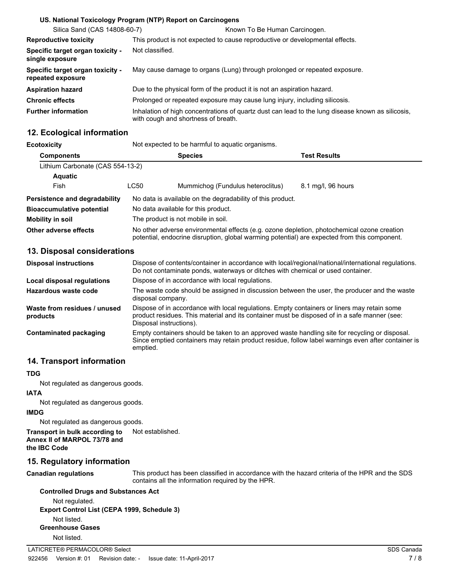|                                                       | US. National Toxicology Program (NTP) Report on Carcinogens                                                                              |  |
|-------------------------------------------------------|------------------------------------------------------------------------------------------------------------------------------------------|--|
| Silica Sand (CAS 14808-60-7)                          | Known To Be Human Carcinogen.                                                                                                            |  |
| <b>Reproductive toxicity</b>                          | This product is not expected to cause reproductive or developmental effects.                                                             |  |
| Specific target organ toxicity -<br>single exposure   | Not classified.                                                                                                                          |  |
| Specific target organ toxicity -<br>repeated exposure | May cause damage to organs (Lung) through prolonged or repeated exposure.                                                                |  |
| <b>Aspiration hazard</b>                              | Due to the physical form of the product it is not an aspiration hazard.                                                                  |  |
| <b>Chronic effects</b>                                | Prolonged or repeated exposure may cause lung injury, including silicosis.                                                               |  |
| <b>Further information</b>                            | Inhalation of high concentrations of quartz dust can lead to the lung disease known as silicosis.<br>with cough and shortness of breath. |  |

# **12. Ecological information**

| Ecotoxicity                          |                                                                                                                                                                                            | Not expected to be harmful to aquatic organisms. |                    |  |
|--------------------------------------|--------------------------------------------------------------------------------------------------------------------------------------------------------------------------------------------|--------------------------------------------------|--------------------|--|
| <b>Components</b>                    | <b>Species</b><br><b>Test Results</b>                                                                                                                                                      |                                                  |                    |  |
| Lithium Carbonate (CAS 554-13-2)     |                                                                                                                                                                                            |                                                  |                    |  |
| <b>Aquatic</b>                       |                                                                                                                                                                                            |                                                  |                    |  |
| Fish                                 | LC50                                                                                                                                                                                       | Mummichog (Fundulus heteroclitus)                | 8.1 mg/l, 96 hours |  |
| <b>Persistence and degradability</b> | No data is available on the degradability of this product.                                                                                                                                 |                                                  |                    |  |
| <b>Bioaccumulative potential</b>     | No data available for this product.                                                                                                                                                        |                                                  |                    |  |
| Mobility in soil                     | The product is not mobile in soil.                                                                                                                                                         |                                                  |                    |  |
| Other adverse effects                | No other adverse environmental effects (e.g. ozone depletion, photochemical ozone creation<br>potential, endocrine disruption, global warming potential) are expected from this component. |                                                  |                    |  |

# **13. Disposal considerations**

| <b>Disposal instructions</b>             | Dispose of contents/container in accordance with local/regional/national/international regulations.<br>Do not contaminate ponds, waterways or ditches with chemical or used container.                                 |
|------------------------------------------|------------------------------------------------------------------------------------------------------------------------------------------------------------------------------------------------------------------------|
| Local disposal regulations               | Dispose of in accordance with local regulations.                                                                                                                                                                       |
| Hazardous waste code                     | The waste code should be assigned in discussion between the user, the producer and the waste<br>disposal company.                                                                                                      |
| Waste from residues / unused<br>products | Dispose of in accordance with local regulations. Empty containers or liners may retain some<br>product residues. This material and its container must be disposed of in a safe manner (see:<br>Disposal instructions). |
| Contaminated packaging                   | Empty containers should be taken to an approved waste handling site for recycling or disposal.<br>Since emptied containers may retain product residue, follow label warnings even after container is<br>emptied.       |

# **14. Transport information**

#### **TDG**

Not regulated as dangerous goods.

#### **IATA**

Not regulated as dangerous goods.

#### **IMDG**

Not regulated as dangerous goods.

**Transport in bulk according to** Not established. **Annex II of MARPOL 73/78 and the IBC Code**

# **15. Regulatory information**

#### **Canadian regulations**

This product has been classified in accordance with the hazard criteria of the HPR and the SDS contains all the information required by the HPR.

#### **Controlled Drugs and Substances Act**

Not regulated. **Export Control List (CEPA 1999, Schedule 3)** Not listed. **Greenhouse Gases** Not listed.